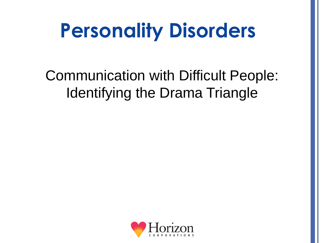# **Personality Disorders**

Communication with Difficult People: Identifying the Drama Triangle

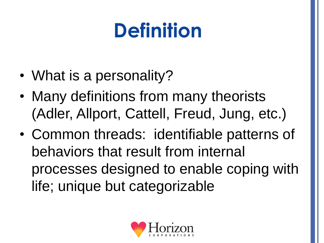# **Definition**

- What is a personality?
- Many definitions from many theorists (Adler, Allport, Cattell, Freud, Jung, etc.)
- Common threads: identifiable patterns of behaviors that result from internal processes designed to enable coping with life; unique but categorizable

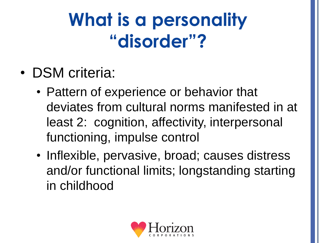### **What is a personality "disorder"?**

- DSM criteria:
	- Pattern of experience or behavior that deviates from cultural norms manifested in at least 2: cognition, affectivity, interpersonal functioning, impulse control
	- Inflexible, pervasive, broad; causes distress and/or functional limits; longstanding starting in childhood

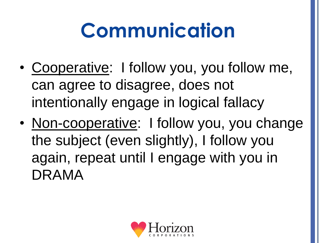# **Communication**

- Cooperative: I follow you, you follow me, can agree to disagree, does not intentionally engage in logical fallacy
- Non-cooperative: I follow you, you change the subject (even slightly), I follow you again, repeat until I engage with you in DRAMA

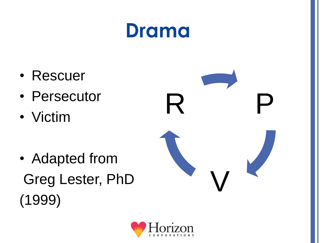#### **Drama**

- Rescuer
- Persecutor
- Victim
- Adapted from Greg Lester, PhD (1999)



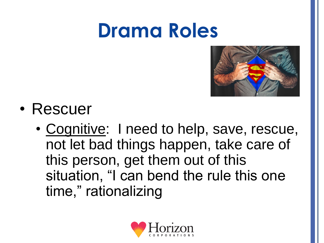#### **Drama Roles**



- Rescuer
	- Cognitive: I need to help, save, rescue, not let bad things happen, take care of this person, get them out of this situation, "I can bend the rule this one time," rationalizing

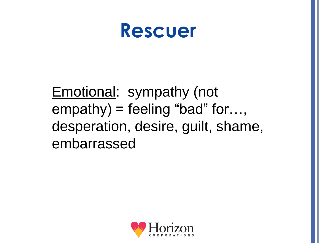

#### Emotional: sympathy (not empathy) = feeling "bad" for…, desperation, desire, guilt, shame, embarrassed

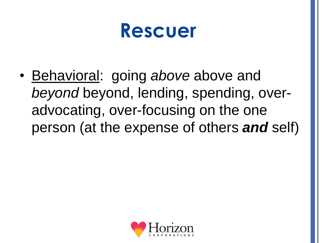

• Behavioral: going *above* above and *beyond* beyond, lending, spending, overadvocating, over-focusing on the one person (at the expense of others *and* self)

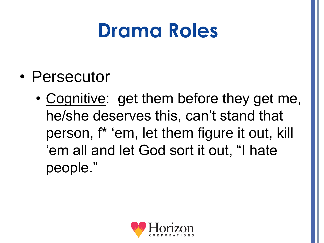### **Drama Roles**

- Persecutor
	- Cognitive: get them before they get me, he/she deserves this, can't stand that person, f\* 'em, let them figure it out, kill 'em all and let God sort it out, "I hate people."

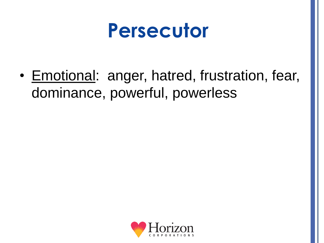#### **Persecutor**

• Emotional: anger, hatred, frustration, fear, dominance, powerful, powerless

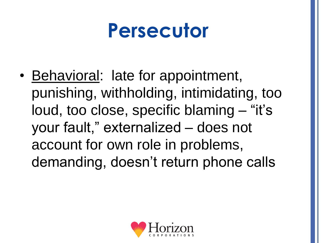### **Persecutor**

• Behavioral: late for appointment, punishing, withholding, intimidating, too loud, too close, specific blaming – "it's your fault," externalized – does not account for own role in problems, demanding, doesn't return phone calls

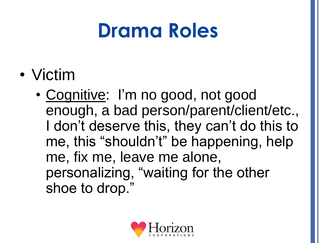### **Drama Roles**

- Victim
	- Cognitive: I'm no good, not good enough, a bad person/parent/client/etc., I don't deserve this, they can't do this to me, this "shouldn't" be happening, help me, fix me, leave me alone, personalizing, "waiting for the other shoe to drop."

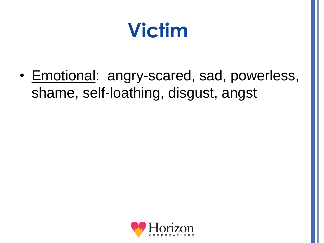### **Victim**

• Emotional: angry-scared, sad, powerless, shame, self-loathing, disgust, angst

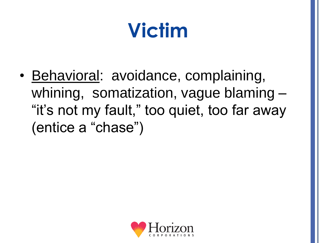## **Victim**

• Behavioral: avoidance, complaining, whining, somatization, vague blaming – "it's not my fault," too quiet, too far away (entice a "chase")

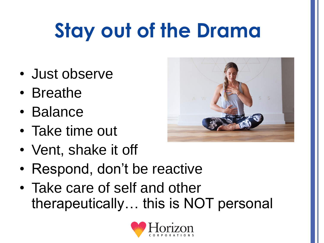# **Stay out of the Drama**

- Just observe
- Breathe
- Balance
- Take time out
- Vent, shake it off



- Respond, don't be reactive
- Take care of self and other therapeutically… this is NOT personal

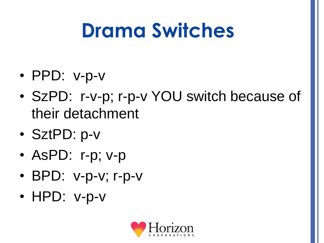### **Drama Switches**

- PPD: v-p-v
- SzPD: r-v-p; r-p-v YOU switch because of their detachment
- SztPD: p-v

• HPD: v-p-v

- AsPD: r-p; v-p
- 
- **BPD: v-p-v; r-p-v**
- -
-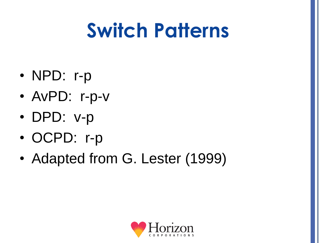## **Switch Patterns**

- NPD: r-p
- AvPD: r-p-v
- DPD: v-p
- OCPD: r-p
- Adapted from G. Lester (1999)